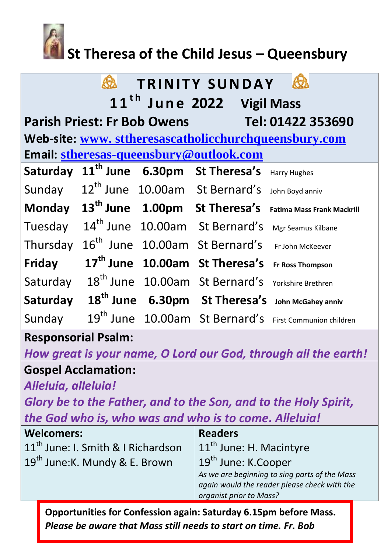

# **St Theresa of the Child Jesus – Queensbury**

|                                                      | <b>Q</b> |  | <b>TRINITY SUNDAY</b>                            | <b>Q</b>                                                            |  |
|------------------------------------------------------|----------|--|--------------------------------------------------|---------------------------------------------------------------------|--|
| 11 <sup>th</sup> June 2022 Vigil Mass                |          |  |                                                  |                                                                     |  |
| Parish Priest: Fr Bob Owens Tel: 01422 353690        |          |  |                                                  |                                                                     |  |
| Web-site: www.sttheresascatholicchurchqueensbury.com |          |  |                                                  |                                                                     |  |
| Email: stheresas-queensbury@outlook.com              |          |  |                                                  |                                                                     |  |
| Saturday                                             |          |  | 11 <sup>th</sup> June 6.30pm St Theresa's        | <b>Harry Hughes</b>                                                 |  |
| Sunday                                               |          |  | 12 <sup>th</sup> June 10.00am St Bernard's       | John Boyd anniv                                                     |  |
|                                                      |          |  | Monday 13 <sup>th</sup> June 1.00pm St Theresa's | <b>Fatima Mass Frank Mackrill</b>                                   |  |
| Tuesday                                              |          |  | 14 <sup>th</sup> June 10.00am St Bernard's       | Mgr Seamus Kilbane                                                  |  |
| Thursday                                             |          |  | 16 <sup>th</sup> June 10.00am St Bernard's       | Fr John McKeever                                                    |  |
| Friday                                               |          |  | 17 <sup>th</sup> June 10.00am St Theresa's       | <b>Fr Ross Thompson</b>                                             |  |
| Saturday                                             |          |  | 18 <sup>th</sup> June 10.00am St Bernard's       | Yorkshire Brethren                                                  |  |
| Saturday                                             |          |  |                                                  | 18 <sup>th</sup> June 6.30pm St Theresa's John McGahey anniv        |  |
| Sunday                                               |          |  |                                                  | 19 <sup>th</sup> June 10.00am St Bernard's First Communion children |  |

# **Responsorial Psalm:**

*How great is your name, O Lord our God, through all the earth!*

# **Gospel Acclamation:**

*Alleluia, alleluia!*

*Glory be to the Father, and to the Son, and to the Holy Spirit, the God who is, who was and who is to come. Alleluia!*

| <b>Welcomers:</b>                              | <b>Readers</b>                                |
|------------------------------------------------|-----------------------------------------------|
| 11 <sup>th</sup> June: I. Smith & I Richardson | $11th$ June: H. Macintyre                     |
| 19 <sup>th</sup> June: K. Mundy & E. Brown     | 19 <sup>th</sup> June: K.Cooper               |
|                                                | As we are beginning to sing parts of the Mass |
|                                                | again would the reader please check with the  |
|                                                | organist prior to Mass?                       |

**Opportunities for Confession again: Saturday 6.15pm before Mass.**  *Please be aware that Mass still needs to start on time. Fr. Bob*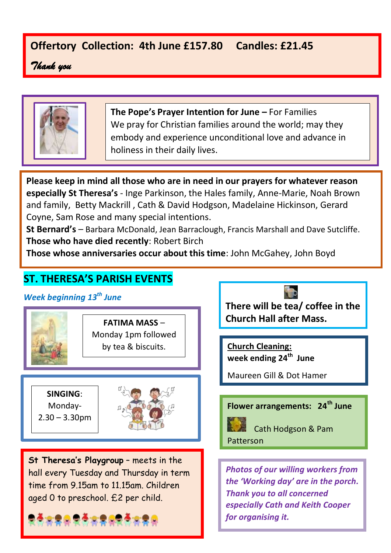# **Offertory Collection: 4th June £157.80 Candles: £21.45**

*Thank you* 



**The Pope's Prayer Intention for June –** For Families We pray for Christian families around the world; may they embody and experience unconditional love and advance in holiness in their daily lives.

**Please keep in mind all those who are in need in our prayers for whatever reason especially St Theresa's** - Inge Parkinson, the Hales family, Anne-Marie, Noah Brown and family, Betty Mackrill , Cath & David Hodgson, Madelaine Hickinson, Gerard Coyne, Sam Rose and many special intentions.

**St Bernard's** – Barbara McDonald, Jean Barraclough, Francis Marshall and Dave Sutcliffe. **Those who have died recently**: Robert Birch

**Those whose anniversaries occur about this time**: John McGahey, John Boyd

# **ST. THERESA'S PARISH EVENTS**

*Week beginning 13th June*



**FATIMA MASS** – Monday 1pm followed by tea & biscuits.

**SINGING**: Monday- $2.30 - 3.30$ pm



**St Theresa's Playgroup** – meets in the hall every Tuesday and Thursday in term time from 9.15am to 11.15am. Children aged 0 to preschool. £2 per child.



**There will be tea/ coffee in the Church Hall after Mass.** 

**Church Cleaning: week ending 24th June**

Maureen Gill & Dot Hamer

## **Flower arrangements: 24th June**



Cath Hodgson & Pam

Patterson

*Photos of our willing workers from the 'Working day' are in the porch. Thank you to all concerned especially Cath and Keith Cooper for organising it.*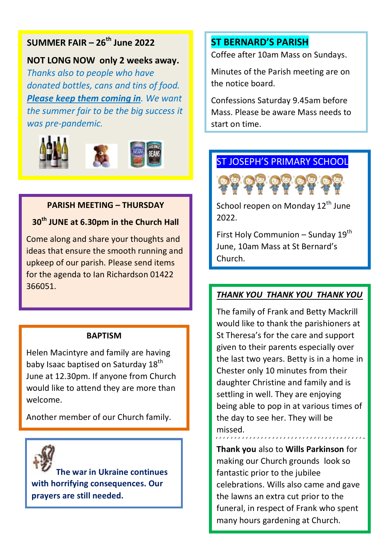## **SUMMER FAIR – 26th June 2022**

### **NOT LONG NOW only 2 weeks away.**

*Thanks also to people who have donated bottles, cans and tins of food. Please keep them coming in. We want the summer fair to be the big success it was pre-pandemic.*



#### **PARISH MEETING – THURSDAY**

#### **30th JUNE at 6.30pm in the Church Hall**

Come along and share your thoughts and ideas that ensure the smooth running and upkeep of our parish. Please send items for the agenda to Ian Richardson 01422 366051.

#### **BAPTISM**

Helen Macintyre and family are having baby Isaac baptised on Saturday 18<sup>th</sup> June at 12.30pm. If anyone from Church would like to attend they are more than welcome.

Another member of our Church family.



**The war in Ukraine continues with horrifying consequences. Our prayers are still needed.**

#### **ST BERNARD'S PARISH**

Coffee after 10am Mass on Sundays.

Minutes of the Parish meeting are on the notice board.

Confessions Saturday 9.45am before Mass. Please be aware Mass needs to start on time.

## ST JOSEPH'S PRIMARY SCHOOL



School reopen on Monday 12<sup>th</sup> June 2022.

First Holy Communion – Sunday 19<sup>th</sup> June, 10am Mass at St Bernard's Church.

#### *THANK YOU THANK YOU THANK YOU*

The family of Frank and Betty Mackrill would like to thank the parishioners at St Theresa's for the care and support given to their parents especially over the last two years. Betty is in a home in Chester only 10 minutes from their daughter Christine and family and is settling in well. They are enjoying being able to pop in at various times of the day to see her. They will be missed.

**Thank you** also to **Wills Parkinson** for making our Church grounds look so fantastic prior to the jubilee celebrations. Wills also came and gave the lawns an extra cut prior to the funeral, in respect of Frank who spent many hours gardening at Church.